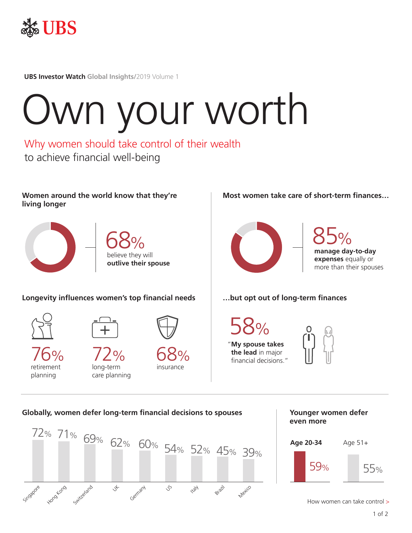

**UBS Investor Watch Global Insights/**2019 Volume 1

# Own your worth

Why women should take control of their wealth to achieve financial well-being

**Women around the world know that they're living longer**





**Longevity influences women's top financial needs**

long-term care planning

72%



planning



retirement 76%



insurance 68% **Most women take care of short-term finances…**



**manage day-to-day expenses** equally or more than their spouses 85%

# **…but opt out of long-term finances**

58% "**My spouse takes the lead** in major financial decisions."



**Globally, women defer long-term financial decisions to spouses**



**Younger women defer even more**



How women can take control >